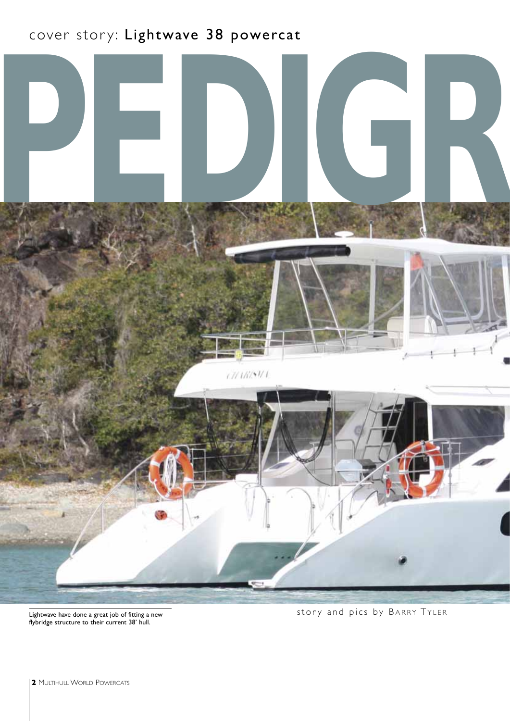## cover story: Lightwave 38 powercat



flybridge structure to their current 38' hull.

Lightwave have done a great job of fitting a new extended to the story and pics by BARRY TYLER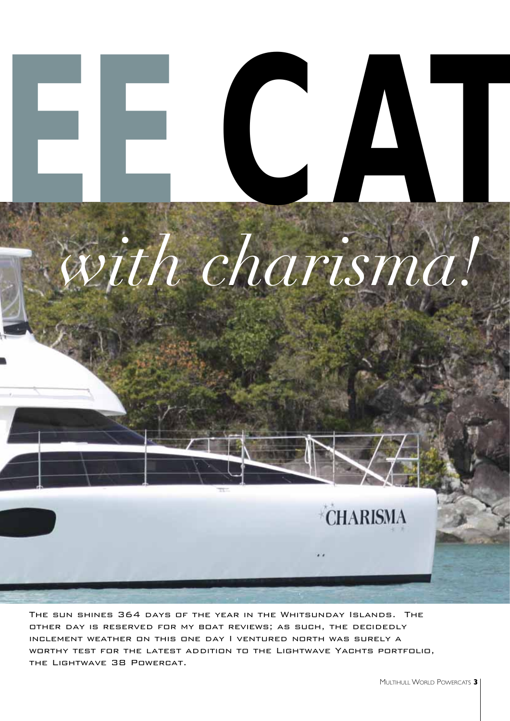

The sun shines 364 days of the year in the Whitsunday Islands. The other day is reserved for my boat reviews; as such, the decidedly inclement weather on this one day I ventured north was surely a worthy test for the latest addition to the Lightwave Yachts portfolio, the Lightwave 38 Powercat.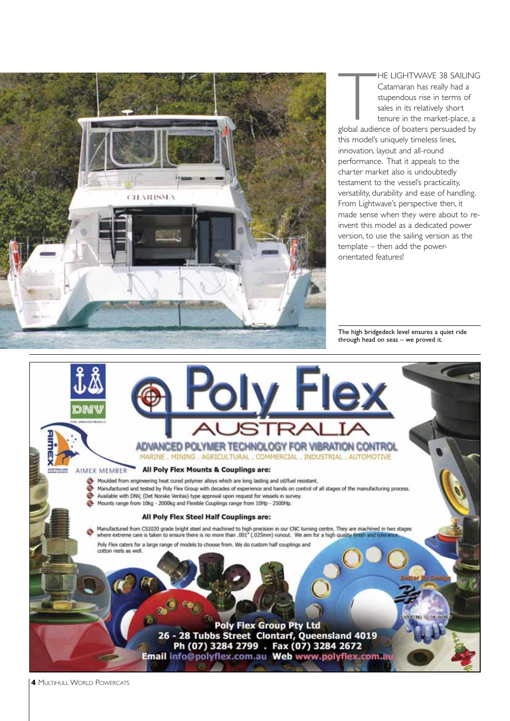

HE LIGHTWAVE 38 SAILING<br>Catamaran has really had a<br>stupendous rise in terms of<br>sales in its relatively short<br>tenure in the market-place, a<br>global audience of boaters persuaded by HE LIGHTWAVE 38 SAILING Catamaran has really had a stupendous rise in terms of sales in its relatively short tenure in the market-place, a this model's uniquely timeless lines, innovation, layout and all-round performance. That it appeals to the charter market also is undoubtedly testament to the vessel's practicality,

versatility, durability and ease of handling. From Lightwave's perspective then, it made sense when they were about to reinvent this model as a dedicated power version, to use the sailing version as the template – then add the powerorientated features!

The high bridgedeck level ensures a quiet ride through head on seas – we proved it.



**4** MULTIHULL WORLD POWERCATS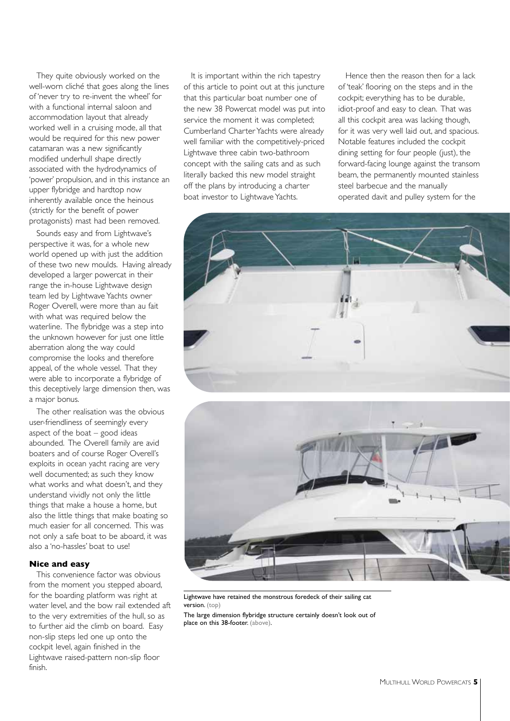They quite obviously worked on the well-worn cliché that goes along the lines of 'never try to re-invent the wheel' for with a functional internal saloon and accommodation layout that already worked well in a cruising mode, all that would be required for this new power catamaran was a new significantly modified underhull shape directly associated with the hydrodynamics of 'power' propulsion, and in this instance an upper flybridge and hardtop now inherently available once the heinous (strictly for the benefit of power protagonists) mast had been removed.

Sounds easy and from Lightwave's perspective it was, for a whole new world opened up with just the addition of these two new moulds. Having already developed a larger powercat in their range the in-house Lightwave design team led by Lightwave Yachts owner Roger Overell, were more than au fait with what was required below the waterline. The flybridge was a step into the unknown however for just one little aberration along the way could compromise the looks and therefore appeal, of the whole vessel. That they were able to incorporate a flybridge of this deceptively large dimension then, was a major bonus.

The other realisation was the obvious user-friendliness of seemingly every aspect of the boat – good ideas abounded. The Overell family are avid boaters and of course Roger Overell's exploits in ocean yacht racing are very well documented; as such they know what works and what doesn't, and they understand vividly not only the little things that make a house a home, but also the little things that make boating so much easier for all concerned. This was not only a safe boat to be aboard, it was also a 'no-hassles' boat to use!

#### **Nice and easy**

This convenience factor was obvious from the moment you stepped aboard, for the boarding platform was right at water level, and the bow rail extended aft to the very extremities of the hull, so as to further aid the climb on board. Easy non-slip steps led one up onto the cockpit level, again finished in the Lightwave raised-pattern non-slip floor finish.

It is important within the rich tapestry of this article to point out at this juncture that this particular boat number one of the new 38 Powercat model was put into service the moment it was completed; Cumberland Charter Yachts were already well familiar with the competitively-priced Lightwave three cabin two-bathroom concept with the sailing cats and as such literally backed this new model straight off the plans by introducing a charter boat investor to Lightwave Yachts.

Hence then the reason then for a lack of 'teak' flooring on the steps and in the cockpit; everything has to be durable, idiot-proof and easy to clean. That was all this cockpit area was lacking though, for it was very well laid out, and spacious. Notable features included the cockpit dining setting for four people (just), the forward-facing lounge against the transom beam, the permanently mounted stainless steel barbecue and the manually operated davit and pulley system for the





Lightwave have retained the monstrous foredeck of their sailing cat version. (top)

The large dimension flybridge structure certainly doesn't look out of place on this 38-footer. (above).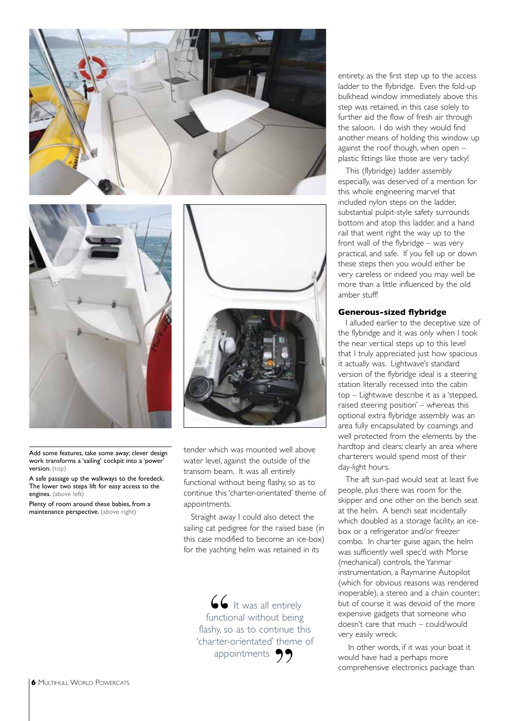



Add some features, take some away; clever design work transforms a 'sailing' cockpit into a 'power' version. (top)

A safe passage up the walkways to the foredeck. The lower two steps lift for easy access to the engines. (above left)

Plenty of room around these babies, from a maintenance perspective. (above right)



tender which was mounted well above water level, against the outside of the transom beam. It was all entirely functional without being flashy, so as to continue this 'charter-orientated' theme of appointments.

Straight away I could also detect the sailing cat pedigree for the raised base (in this case modified to become an ice-box) for the yachting helm was retained in its

66 It was all entirely functional without being flashy, so as to continue this 'charter-orientated' theme of appointments 99

entirety, as the first step up to the access ladder to the flybridge. Even the fold-up bulkhead window immediately above this step was retained, in this case solely to further aid the flow of fresh air through the saloon. I do wish they would find another means of holding this window up against the roof though, when open – plastic fittings like those are very tacky!

This (flybridge) ladder assembly especially, was deserved of a mention for this whole engineering marvel that included nylon steps on the ladder, substantial pulpit-style safety surrounds bottom and atop this ladder, and a hand rail that went right the way up to the front wall of the flybridge – was very practical, and safe. If you fell up or down these steps then you would either be very careless or indeed you may well be more than a little influenced by the old amber stuff!

#### **Generous-sized flybridge**

I alluded earlier to the deceptive size of the flybridge and it was only when I took the near vertical steps up to this level that I truly appreciated just how spacious it actually was. Lightwave's standard version of the flybridge ideal is a steering station literally recessed into the cabin top – Lightwave describe it as a 'stepped, raised steering position' – whereas this optional extra flybridge assembly was an area fully encapsulated by coamings and well protected from the elements by the hardtop and clears; clearly an area where charterers would spend most of their day-light hours.

The aft sun-pad would seat at least five people, plus there was room for the skipper and one other on the bench seat at the helm. A bench seat incidentally which doubled as a storage facility, an icebox or a refrigerator and/or freezer combo. In charter guise again, the helm was sufficiently well spec'd with Morse (mechanical) controls, the Yanmar instrumentation, a Raymarine Autopilot (which for obvious reasons was rendered inoperable), a stereo and a chain counter; but of course it was devoid of the more expensive gadgets that someone who doesn't care that much – could/would very easily wreck.

In other words, if it was your boat it would have had a perhaps more comprehensive electronics package than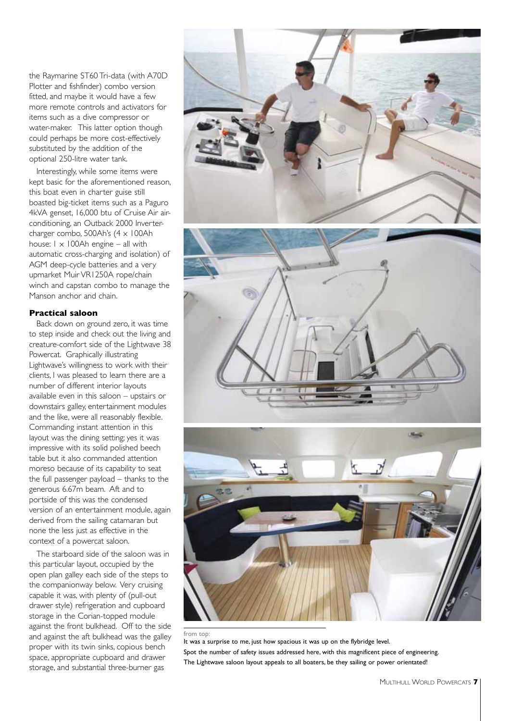the Raymarine ST60 Tri-data (with A70D Plotter and fishfinder) combo version fitted, and maybe it would have a few more remote controls and activators for items such as a dive compressor or water-maker. This latter option though could perhaps be more cost-effectively substituted by the addition of the optional 250-litre water tank.

Interestingly, while some items were kept basic for the aforementioned reason, this boat even in charter guise still boasted big-ticket items such as a Paguro 4kVA genset, 16,000 btu of Cruise Air airconditioning, an Outback 2000 Invertercharger combo, 500Ah's (4 x 100Ah house:  $1 \times 100$ Ah engine – all with automatic cross-charging and isolation) of AGM deep-cycle batteries and a very upmarket Muir VR1250A rope/chain winch and capstan combo to manage the Manson anchor and chain.

#### **Practical saloon**

Back down on ground zero, it was time to step inside and check out the living and creature-comfort side of the Lightwave 38 Powercat. Graphically illustrating Lightwave's willingness to work with their clients, I was pleased to learn there are a number of different interior layouts available even in this saloon – upstairs or downstairs galley, entertainment modules and the like, were all reasonably flexible. Commanding instant attention in this layout was the dining setting; yes it was impressive with its solid polished beech table but it also commanded attention moreso because of its capability to seat the full passenger payload – thanks to the generous 6.67m beam. Aft and to portside of this was the condensed version of an entertainment module, again derived from the sailing catamaran but none the less just as effective in the context of a powercat saloon.

The starboard side of the saloon was in this particular layout, occupied by the open plan galley each side of the steps to the companionway below. Very cruising capable it was, with plenty of (pull-out drawer style) refrigeration and cupboard storage in the Corian-topped module against the front bulkhead. Off to the side and against the aft bulkhead was the galley proper with its twin sinks, copious bench space, appropriate cupboard and drawer storage, and substantial three-burner gas



from top:

It was a surprise to me, just how spacious it was up on the flybridge level. Spot the number of safety issues addressed here, with this magnificent piece of engineering. The Lightwave saloon layout appeals to all boaters, be they sailing or power orientated!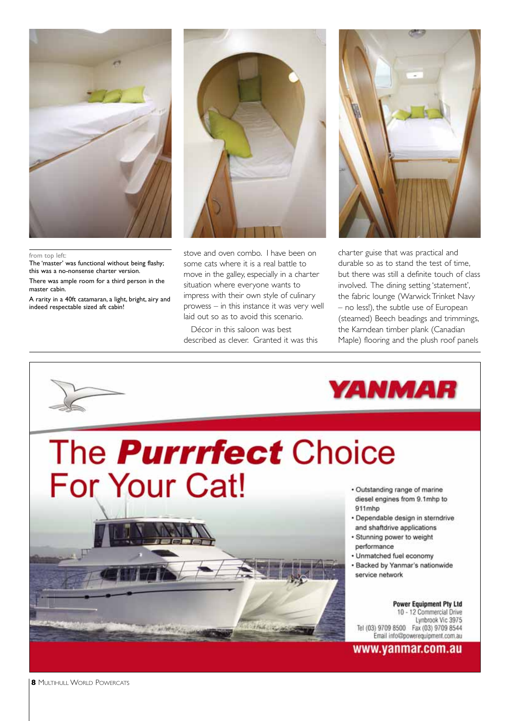

#### from top left:

The 'master' was functional without being flashy; this was a no-nonsense charter version.

There was ample room for a third person in the master cabin.

A rarity in a 40ft catamaran, a light, bright, airy and indeed respectable sized aft cabin!



stove and oven combo. I have been on some cats where it is a real battle to move in the galley, especially in a charter situation where everyone wants to impress with their own style of culinary prowess – in this instance it was very well laid out so as to avoid this scenario.

Décor in this saloon was best described as clever. Granted it was this



charter guise that was practical and durable so as to stand the test of time, but there was still a definite touch of class involved. The dining setting 'statement', the fabric lounge (Warwick Trinket Navy – no less!), the subtle use of European (steamed) Beech beadings and trimmings, the Karndean timber plank (Canadian Maple) flooring and the plush roof panels

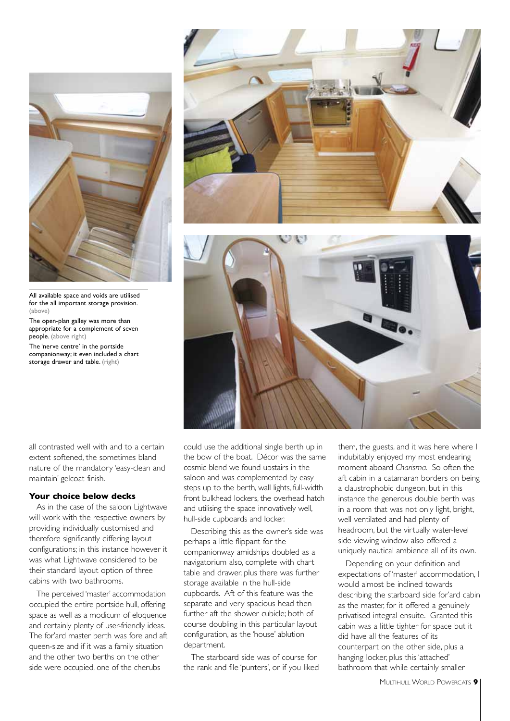

All available space and voids are utilised for the all important storage provision. (above)

The open-plan galley was more than appropriate for a complement of seven people. (above right)

The 'nerve centre' in the portside companionway; it even included a chart storage drawer and table. (right)

all contrasted well with and to a certain extent softened, the sometimes bland nature of the mandatory 'easy-clean and maintain' gelcoat finish.

#### **Your choice below decks**

As in the case of the saloon Lightwave will work with the respective owners by providing individually customised and therefore significantly differing layout configurations; in this instance however it was what Lightwave considered to be their standard layout option of three cabins with two bathrooms.

The perceived 'master' accommodation occupied the entire portside hull, offering space as well as a modicum of eloquence and certainly plenty of user-friendly ideas. The for'ard master berth was fore and aft queen-size and if it was a family situation and the other two berths on the other side were occupied, one of the cherubs





could use the additional single berth up in the bow of the boat. Décor was the same cosmic blend we found upstairs in the saloon and was complemented by easy steps up to the berth, wall lights, full-width front bulkhead lockers, the overhead hatch and utilising the space innovatively well, hull-side cupboards and locker.

Describing this as the owner's side was perhaps a little flippant for the companionway amidships doubled as a navigatorium also, complete with chart table and drawer, plus there was further storage available in the hull-side cupboards. Aft of this feature was the separate and very spacious head then further aft the shower cubicle; both of course doubling in this particular layout configuration, as the 'house' ablution department.

The starboard side was of course for the rank and file 'punters', or if you liked them, the guests, and it was here where I indubitably enjoyed my most endearing moment aboard *Charisma.* So often the aft cabin in a catamaran borders on being a claustrophobic dungeon, but in this instance the generous double berth was in a room that was not only light, bright, well ventilated and had plenty of headroom, but the virtually water-level side viewing window also offered a uniquely nautical ambience all of its own.

Depending on your definition and expectations of 'master' accommodation, I would almost be inclined towards describing the starboard side for'ard cabin as the master, for it offered a genuinely privatised integral ensuite. Granted this cabin was a little tighter for space but it did have all the features of its counterpart on the other side, plus a hanging locker, plus this 'attached' bathroom that while certainly smaller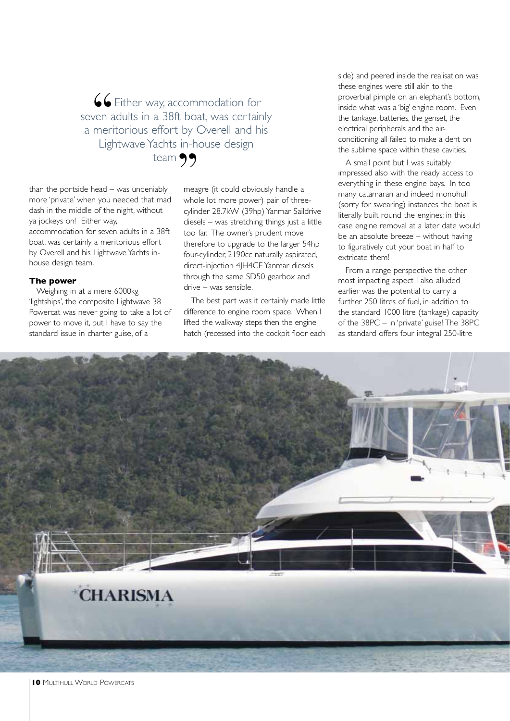$\frac{6}{\sqrt{2}}$ Either way, accommodation for seven adults in a 38ft boat, was certainly a meritorious effort by Overell and his Lightwave Yachts in-house design team  $\mathfrak{D}$ <br> $\mathfrak{D}$ 

than the portside head – was undeniably more 'private' when you needed that mad dash in the middle of the night, without ya jockeys on! Either way, accommodation for seven adults in a 38ft boat, was certainly a meritorious effort by Overell and his Lightwave Yachts inhouse design team.

#### **The power**

Weighing in at a mere 6000kg 'lightships', the composite Lightwave 38 Powercat was never going to take a lot of power to move it, but I have to say the standard issue in charter guise, of a

meagre (it could obviously handle a whole lot more power) pair of threecylinder 28.7kW (39hp) Yanmar Saildrive diesels – was stretching things just a little too far. The owner's prudent move therefore to upgrade to the larger 54hp four-cylinder, 2190cc naturally aspirated, direct-injection 4JH4CE Yanmar diesels through the same SD50 gearbox and drive – was sensible.

The best part was it certainly made little difference to engine room space. When I lifted the walkway steps then the engine hatch (recessed into the cockpit floor each side) and peered inside the realisation was these engines were still akin to the proverbial pimple on an elephant's bottom, inside what was a 'big' engine room. Even the tankage, batteries, the genset, the electrical peripherals and the airconditioning all failed to make a dent on the sublime space within these cavities.

A small point but I was suitably impressed also with the ready access to everything in these engine bays. In too many catamaran and indeed monohull (sorry for swearing) instances the boat is literally built round the engines; in this case engine removal at a later date would be an absolute breeze – without having to figuratively cut your boat in half to extricate them!

From a range perspective the other most impacting aspect I also alluded earlier was the potential to carry a further 250 litres of fuel, in addition to the standard 1000 litre (tankage) capacity of the 38PC – in 'private' guise! The 38PC as standard offers four integral 250-litre

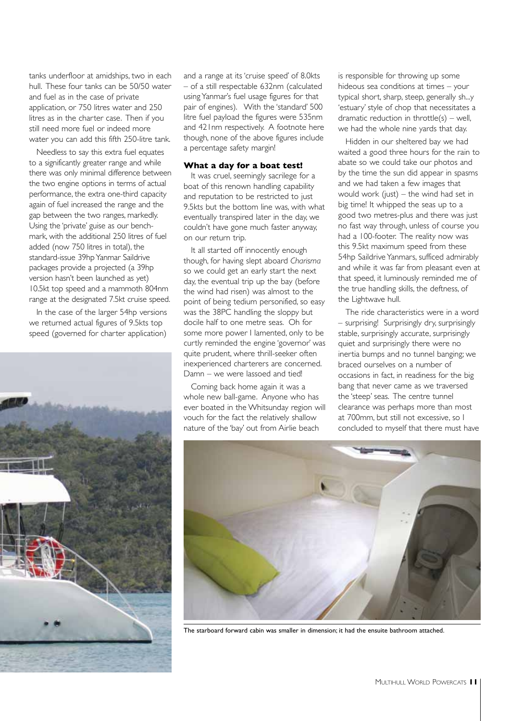tanks underfloor at amidships, two in each hull. These four tanks can be 50/50 water and fuel as in the case of private application, or 750 litres water and 250 litres as in the charter case. Then if you still need more fuel or indeed more water you can add this fifth 250-litre tank.

Needless to say this extra fuel equates to a significantly greater range and while there was only minimal difference between the two engine options in terms of actual performance, the extra one-third capacity again of fuel increased the range and the gap between the two ranges, markedly. Using the 'private' guise as our benchmark, with the additional 250 litres of fuel added (now 750 litres in total), the standard-issue 39hp Yanmar Saildrive packages provide a projected (a 39hp version hasn't been launched as yet) 10.5kt top speed and a mammoth 804nm range at the designated 7.5kt cruise speed.

In the case of the larger 54hp versions we returned actual figures of 9.5kts top speed (governed for charter application)



and a range at its 'cruise speed' of 8.0kts – of a still respectable 632nm (calculated using Yanmar's fuel usage figures for that pair of engines). With the 'standard' 500 litre fuel payload the figures were 535nm and 421nm respectively. A footnote here though, none of the above figures include a percentage safety margin!

#### **What a day for a boat test!**

It was cruel, seemingly sacrilege for a boat of this renown handling capability and reputation to be restricted to just 9.5kts but the bottom line was, with what eventually transpired later in the day, we couldn't have gone much faster anyway, on our return trip.

It all started off innocently enough though, for having slept aboard *Charisma* so we could get an early start the next day, the eventual trip up the bay (before the wind had risen) was almost to the point of being tedium personified, so easy was the 38PC handling the sloppy but docile half to one metre seas. Oh for some more power I lamented, only to be curtly reminded the engine 'governor' was quite prudent, where thrill-seeker often inexperienced charterers are concerned. Damn – we were lassoed and tied!

Coming back home again it was a whole new ball-game. Anyone who has ever boated in the Whitsunday region will vouch for the fact the relatively shallow nature of the 'bay' out from Airlie beach

is responsible for throwing up some hideous sea conditions at times – your typical short, sharp, steep, generally sh...y 'estuary' style of chop that necessitates a dramatic reduction in throttle(s) – well, we had the whole nine yards that day.

Hidden in our sheltered bay we had waited a good three hours for the rain to abate so we could take our photos and by the time the sun did appear in spasms and we had taken a few images that would work (just) – the wind had set in big time! It whipped the seas up to a good two metres-plus and there was just no fast way through, unless of course you had a 100-footer. The reality now was this 9.5kt maximum speed from these 54hp Saildrive Yanmars, sufficed admirably and while it was far from pleasant even at that speed, it luminously reminded me of the true handling skills, the deftness, of the Lightwave hull.

The ride characteristics were in a word – surprising! Surprisingly dry, surprisingly stable, surprisingly accurate, surprisingly quiet and surprisingly there were no inertia bumps and no tunnel banging; we braced ourselves on a number of occasions in fact, in readiness for the big bang that never came as we traversed the 'steep' seas. The centre tunnel clearance was perhaps more than most at 700mm, but still not excessive, so I concluded to myself that there must have



The starboard forward cabin was smaller in dimension; it had the ensuite bathroom attached.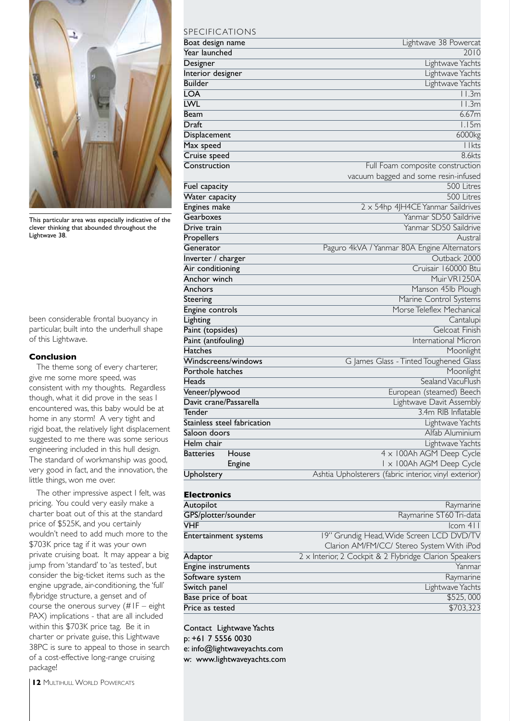

This particular area was especially indicative of the clever thinking that abounded throughout the Lightwave 38.

been considerable frontal buoyancy in particular, built into the underhull shape of this Lightwave.

#### **Conclusion**

The theme song of every charterer, give me some more speed, was consistent with my thoughts. Regardless though, what it did prove in the seas I encountered was, this baby would be at home in any storm! A very tight and rigid boat, the relatively light displacement suggested to me there was some serious engineering included in this hull design. The standard of workmanship was good, very good in fact, and the innovation, the little things, won me over.

The other impressive aspect I felt, was pricing. You could very easily make a charter boat out of this at the standard price of \$525K, and you certainly wouldn't need to add much more to the \$703K price tag if it was your own private cruising boat. It may appear a big jump from 'standard' to 'as tested', but consider the big-ticket items such as the engine upgrade, air-conditioning, the 'full' flybridge structure, a genset and of course the onerous survey (#1F – eight PAX) implications - that are all included within this \$703K price tag. Be it in charter or private guise, this Lightwave 38PC is sure to appeal to those in search of a cost-effective long-range cruising package!

### SPECIFIC ATIONS

| Boat design name            | Lightwave 38 Powercat                                 |
|-----------------------------|-------------------------------------------------------|
| Year launched               | 2010                                                  |
| Designer                    | Lightwave Yachts                                      |
| Interior designer           | Lightwave Yachts                                      |
| <b>Builder</b>              | Lightwave Yachts                                      |
| <b>LOA</b>                  | 11.3m                                                 |
| <b>LWL</b>                  | $\overline{11.3m}$                                    |
| <b>Beam</b>                 | 6.67m                                                 |
| Draft                       | 1.15m                                                 |
| Displacement                | 6000kg                                                |
| Max speed                   | $11$ kts                                              |
| Cruise speed                | <b>8.6kts</b>                                         |
| Construction                | Full Foam composite construction                      |
|                             | vacuum bagged and some resin-infused                  |
| Fuel capacity               | 500 Litres                                            |
| Water capacity              | 500 Litres                                            |
| <b>Engines make</b>         | 2 x 54hp 4JH4CE Yanmar Saildrives                     |
| Gearboxes                   | Yanmar SD50 Saildrive                                 |
| Drive train                 | Yanmar SD50 Saildrive                                 |
| Propellers                  | Austral                                               |
| Generator                   | Paguro 4kVA / Yanmar 80A Engine Alternators           |
| Inverter / charger          | Outback 2000                                          |
| Air conditioning            | Cruisair 160000 Btu                                   |
| Anchor winch                | Muir VRI 250A                                         |
| Anchors                     | Manson 45lb Plough                                    |
| Steering                    | Marine Control Systems                                |
| Engine controls             | Morse Teleflex Mechanical                             |
| Lighting                    | Cantalupi                                             |
| Paint (topsides)            | Gelcoat Finish                                        |
| Paint (antifouling)         | International Micron                                  |
| <b>Hatches</b>              | Moonlight                                             |
| Windscreens/windows         | G James Glass - Tinted Toughened Glass                |
| Porthole hatches            | Moonlight                                             |
| Heads                       | Sealand VacuFlush                                     |
| Veneer/plywood              | European (steamed) Beech                              |
| Davit crane/Passarella      | Lightwave Davit Assembly                              |
| Tender                      | 3.4m RIB Inflatable                                   |
| Stainless steel fabrication | Lightwave Yachts                                      |
| Saloon doors                | Alfab Aluminium                                       |
| Helm chair                  | Lightwave Yachts                                      |
| <b>Batteries</b><br>House   | 4 x 100Ah AGM Deep Cycle                              |
| <b>Engine</b>               | I x 100Ah AGM Deep Cycle                              |
| Upholstery                  | Ashtia Upholsterers (fabric interior, vinyl exterior) |

#### **Electronics**

| Autopilot             | Raymarine                                              |
|-----------------------|--------------------------------------------------------|
| GPS/plotter/sounder   | Raymarine ST60 Tri-data                                |
| <b>VHF</b>            | $lcom$ 4 $l$                                           |
| Entertainment systems | 19" Grundig Head, Wide Screen LCD DVD/TV               |
|                       | Clarion AM/FM/CC/ Stereo System With iPod              |
| Adaptor               | 2 x Interior, 2 Cockpit & 2 Flybridge Clarion Speakers |
| Engine instruments    | Yanmar                                                 |
| Software system       | Raymarine                                              |
| Switch panel          | Lightwave Yachts                                       |
| Base price of boat    | \$525,000                                              |
| Price as tested       | \$703,323                                              |
|                       |                                                        |

Contact Lightwave Yachts p: +61 7 5556 0030 e: info@lightwaveyachts.com w: www.lightwaveyachts.com

**12 MULTIHULL WORLD POWERCATS**